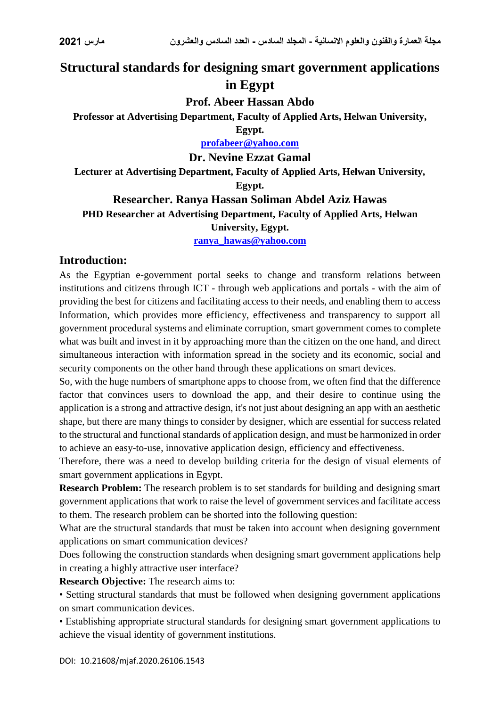# **Structural standards for designing smart government applications in Egypt**

**Prof. Abeer Hassan Abdo**

**Professor at Advertising Department, Faculty of Applied Arts, Helwan University,** 

**Egypt.**

**[profabeer@yahoo.com](mailto:profabeer@yahoo.com)**

**Dr. Nevine Ezzat Gamal**

**Lecturer at Advertising Department, Faculty of Applied Arts, Helwan University,** 

**Egypt.**

### **Researcher. Ranya Hassan Soliman Abdel Aziz Hawas PHD Researcher at Advertising Department, Faculty of Applied Arts, Helwan**

#### **University, Egypt.**

**[ranya\\_hawas@yahoo.com](mailto:ranya_hawas@yahoo.com)**

### **Introduction:**

As the Egyptian e-government portal seeks to change and transform relations between institutions and citizens through ICT - through web applications and portals - with the aim of providing the best for citizens and facilitating access to their needs, and enabling them to access Information, which provides more efficiency, effectiveness and transparency to support all government procedural systems and eliminate corruption, smart government comes to complete what was built and invest in it by approaching more than the citizen on the one hand, and direct simultaneous interaction with information spread in the society and its economic, social and security components on the other hand through these applications on smart devices.

So, with the huge numbers of smartphone apps to choose from, we often find that the difference factor that convinces users to download the app, and their desire to continue using the application is a strong and attractive design, it's not just about designing an app with an aesthetic shape, but there are many things to consider by designer, which are essential for success related to the structural and functional standards of application design, and must be harmonized in order to achieve an easy-to-use, innovative application design, efficiency and effectiveness.

Therefore, there was a need to develop building criteria for the design of visual elements of smart government applications in Egypt.

**Research Problem:** The research problem is to set standards for building and designing smart government applications that work to raise the level of government services and facilitate access to them. The research problem can be shorted into the following question:

What are the structural standards that must be taken into account when designing government applications on smart communication devices?

Does following the construction standards when designing smart government applications help in creating a highly attractive user interface?

**Research Objective:** The research aims to:

• Setting structural standards that must be followed when designing government applications on smart communication devices.

• Establishing appropriate structural standards for designing smart government applications to achieve the visual identity of government institutions.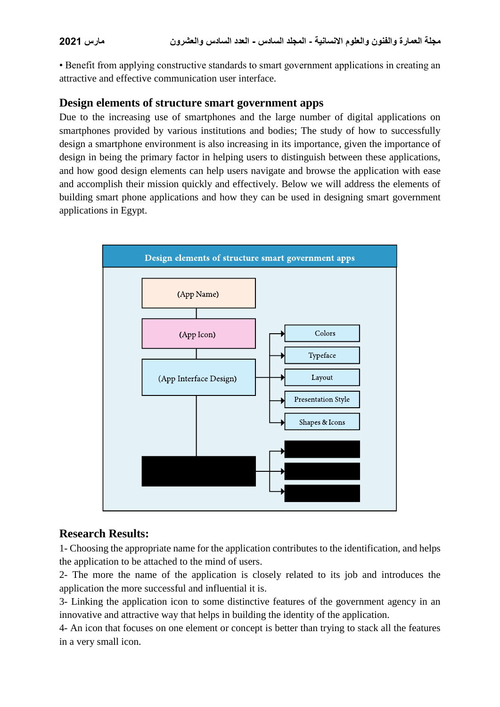• Benefit from applying constructive standards to smart government applications in creating an attractive and effective communication user interface.

### **Design elements of structure smart government apps**

Due to the increasing use of smartphones and the large number of digital applications on smartphones provided by various institutions and bodies; The study of how to successfully design a smartphone environment is also increasing in its importance, given the importance of design in being the primary factor in helping users to distinguish between these applications, and how good design elements can help users navigate and browse the application with ease and accomplish their mission quickly and effectively. Below we will address the elements of building smart phone applications and how they can be used in designing smart government applications in Egypt.



# **Research Results:**

1- Choosing the appropriate name for the application contributes to the identification, and helps the application to be attached to the mind of users.

2- The more the name of the application is closely related to its job and introduces the application the more successful and influential it is.

3- Linking the application icon to some distinctive features of the government agency in an innovative and attractive way that helps in building the identity of the application.

4- An icon that focuses on one element or concept is better than trying to stack all the features in a very small icon.